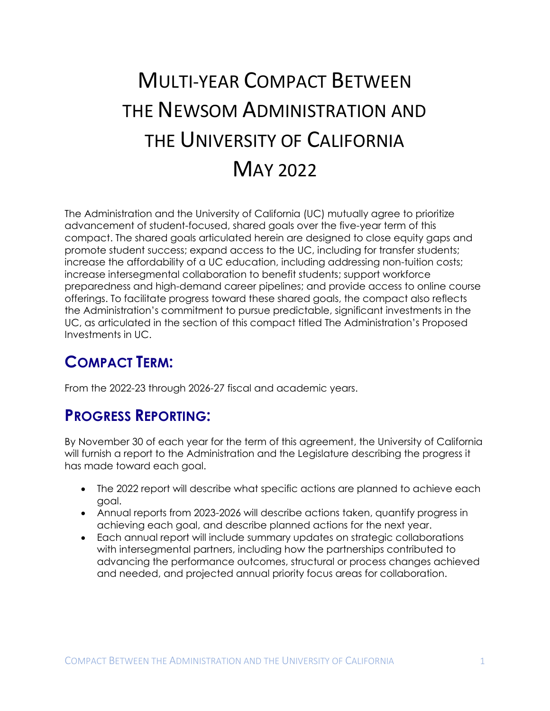# MULTI-YEAR COMPACT BETWEEN THE NEWSOM ADMINISTRATION AND THE UNIVERSITY OF CALIFORNIA MAY 2022

The Administration and the University of California (UC) mutually agree to prioritize advancement of student-focused, shared goals over the five-year term of this compact. The shared goals articulated herein are designed to close equity gaps and promote student success; expand access to the UC, including for transfer students; increase the affordability of a UC education, including addressing non-tuition costs; increase intersegmental collaboration to benefit students; support workforce preparedness and high-demand career pipelines; and provide access to online course offerings. To facilitate progress toward these shared goals, the compact also reflects the Administration's commitment to pursue predictable, significant investments in the UC, as articulated in the section of this compact titled The Administration's Proposed Investments in UC.

# **COMPACT TERM:**

From the 2022-23 through 2026-27 fiscal and academic years.

## **PROGRESS REPORTING:**

By November 30 of each year for the term of this agreement, the University of California will furnish a report to the Administration and the Legislature describing the progress it has made toward each goal.

- The 2022 report will describe what specific actions are planned to achieve each goal.
- Annual reports from 2023-2026 will describe actions taken, quantify progress in achieving each goal, and describe planned actions for the next year.
- Each annual report will include summary updates on strategic collaborations with intersegmental partners, including how the partnerships contributed to advancing the performance outcomes, structural or process changes achieved and needed, and projected annual priority focus areas for collaboration.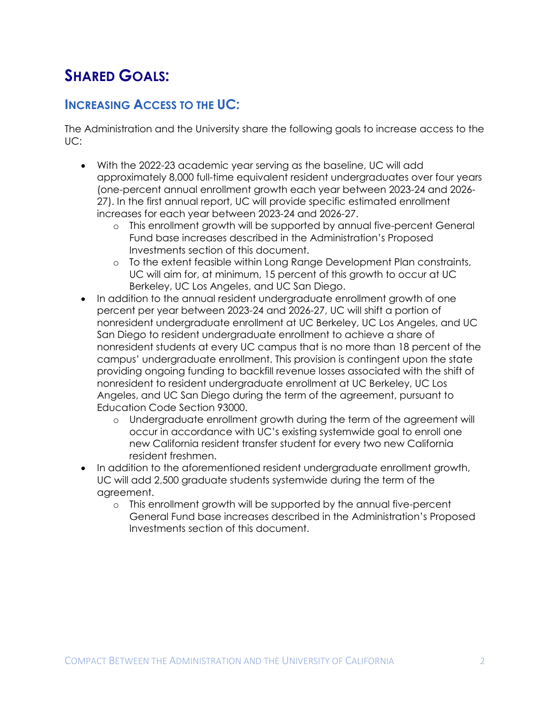# **SHARED GOALS:**

#### **INCREASING ACCESS TO THE UC:**

The Administration and the University share the following goals to increase access to the UC:

- With the 2022-23 academic year serving as the baseline, UC will add approximately 8,000 full-time equivalent resident undergraduates over four years (one-percent annual enrollment growth each year between 2023-24 and 2026- 27). In the first annual report, UC will provide specific estimated enrollment increases for each year between 2023-24 and 2026-27.
	- o This enrollment growth will be supported by annual five-percent General Fund base increases described in the Administration's Proposed Investments section of this document.
	- o To the extent feasible within Long Range Development Plan constraints, UC will aim for, at minimum, 15 percent of this growth to occur at UC Berkeley, UC Los Angeles, and UC San Diego.
- In addition to the annual resident undergraduate enrollment growth of one percent per year between 2023-24 and 2026-27, UC will shift a portion of nonresident undergraduate enrollment at UC Berkeley, UC Los Angeles, and UC San Diego to resident undergraduate enrollment to achieve a share of nonresident students at every UC campus that is no more than 18 percent of the campus' undergraduate enrollment. This provision is contingent upon the state providing ongoing funding to backfill revenue losses associated with the shift of nonresident to resident undergraduate enrollment at UC Berkeley, UC Los Angeles, and UC San Diego during the term of the agreement, pursuant to Education Code Section 93000.
	- o Undergraduate enrollment growth during the term of the agreement will occur in accordance with UC's existing systemwide goal to enroll one new California resident transfer student for every two new California resident freshmen.
- In addition to the aforementioned resident undergraduate enrollment growth, UC will add 2,500 graduate students systemwide during the term of the agreement.
	- o This enrollment growth will be supported by the annual five-percent General Fund base increases described in the Administration's Proposed Investments section of this document.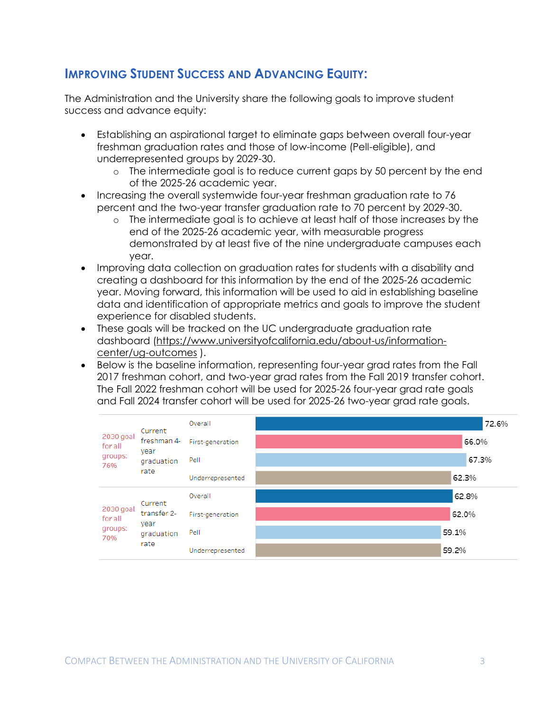#### **IMPROVING STUDENT SUCCESS AND ADVANCING EQUITY:**

The Administration and the University share the following goals to improve student success and advance equity:

- Establishing an aspirational target to eliminate gaps between overall four-year freshman graduation rates and those of low-income (Pell-eligible), and underrepresented groups by 2029-30.
	- o The intermediate goal is to reduce current gaps by 50 percent by the end of the 2025-26 academic year.
- Increasing the overall systemwide four-year freshman graduation rate to 76 percent and the two-year transfer graduation rate to 70 percent by 2029-30.
	- o The intermediate goal is to achieve at least half of those increases by the end of the 2025-26 academic year, with measurable progress demonstrated by at least five of the nine undergraduate campuses each year.
- Improving data collection on graduation rates for students with a disability and creating a dashboard for this information by the end of the 2025-26 academic year. Moving forward, this information will be used to aid in establishing baseline data and identification of appropriate metrics and goals to improve the student experience for disabled students.
- These goals will be tracked on the UC undergraduate graduation rate dashboard [\(https://www.universityofcalifornia.edu/about-us/information](https://www.universityofcalifornia.edu/about-us/information-center/ug-outcomes)[center/ug-outcomes](https://www.universityofcalifornia.edu/about-us/information-center/ug-outcomes) ).
- Below is the baseline information, representing four-year grad rates from the Fall 2017 freshman cohort, and two-year grad rates from the Fall 2019 transfer cohort. The Fall 2022 freshman cohort will be used for 2025-26 four-year grad rate goals and Fall 2024 transfer cohort will be used for 2025-26 two-year grad rate goals.

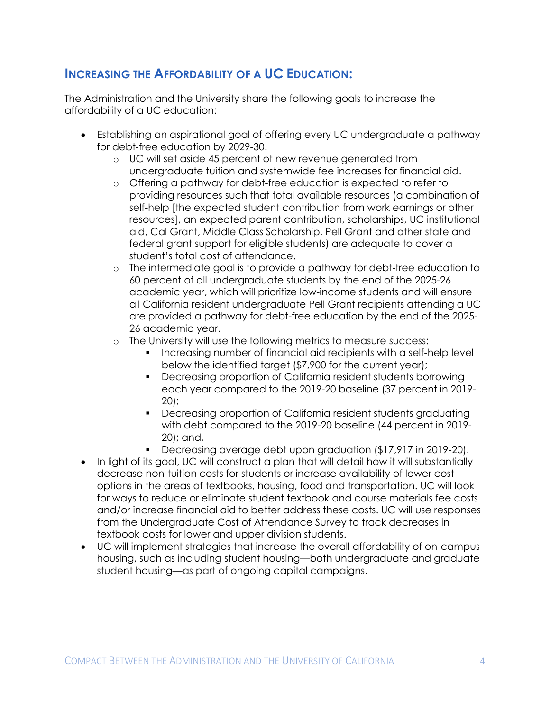#### **INCREASING THE AFFORDABILITY OF A UC EDUCATION:**

The Administration and the University share the following goals to increase the affordability of a UC education:

- Establishing an aspirational goal of offering every UC undergraduate a pathway for debt-free education by 2029-30.
	- o UC will set aside 45 percent of new revenue generated from undergraduate tuition and systemwide fee increases for financial aid.
	- o Offering a pathway for debt-free education is expected to refer to providing resources such that total available resources (a combination of self-help [the expected student contribution from work earnings or other resources], an expected parent contribution, scholarships, UC institutional aid, Cal Grant, Middle Class Scholarship, Pell Grant and other state and federal grant support for eligible students) are adequate to cover a student's total cost of attendance.
	- o The intermediate goal is to provide a pathway for debt-free education to 60 percent of all undergraduate students by the end of the 2025-26 academic year, which will prioritize low-income students and will ensure all California resident undergraduate Pell Grant recipients attending a UC are provided a pathway for debt-free education by the end of the 2025- 26 academic year.
	- The University will use the following metrics to measure success:
		- **Increasing number of financial aid recipients with a self-help level** below the identified target (\$7,900 for the current year);
		- Decreasing proportion of California resident students borrowing each year compared to the 2019-20 baseline (37 percent in 2019- 20);
		- Decreasing proportion of California resident students graduating with debt compared to the 2019-20 baseline (44 percent in 2019- 20); and,
		- Decreasing average debt upon graduation (\$17,917 in 2019-20).
- In light of its goal, UC will construct a plan that will detail how it will substantially decrease non-tuition costs for students or increase availability of lower cost options in the areas of textbooks, housing, food and transportation. UC will look for ways to reduce or eliminate student textbook and course materials fee costs and/or increase financial aid to better address these costs. UC will use responses from the Undergraduate Cost of Attendance Survey to track decreases in textbook costs for lower and upper division students.
- UC will implement strategies that increase the overall affordability of on-campus housing, such as including student housing—both undergraduate and graduate student housing—as part of ongoing capital campaigns.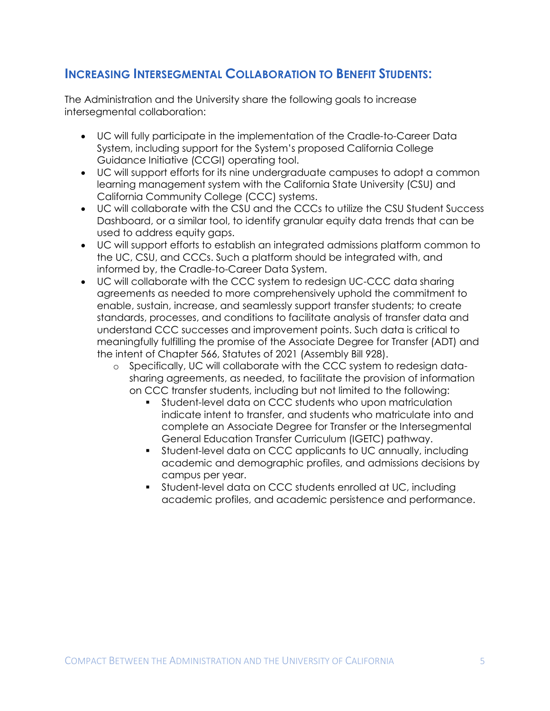#### **INCREASING INTERSEGMENTAL COLLABORATION TO BENEFIT STUDENTS:**

The Administration and the University share the following goals to increase intersegmental collaboration:

- UC will fully participate in the implementation of the Cradle-to-Career Data System, including support for the System's proposed California College Guidance Initiative (CCGI) operating tool.
- UC will support efforts for its nine undergraduate campuses to adopt a common learning management system with the California State University (CSU) and California Community College (CCC) systems.
- UC will collaborate with the CSU and the CCCs to utilize the CSU Student Success Dashboard, or a similar tool, to identify granular equity data trends that can be used to address equity gaps.
- UC will support efforts to establish an integrated admissions platform common to the UC, CSU, and CCCs. Such a platform should be integrated with, and informed by, the Cradle-to-Career Data System.
- UC will collaborate with the CCC system to redesign UC-CCC data sharing agreements as needed to more comprehensively uphold the commitment to enable, sustain, increase, and seamlessly support transfer students; to create standards, processes, and conditions to facilitate analysis of transfer data and understand CCC successes and improvement points. Such data is critical to meaningfully fulfilling the promise of the Associate Degree for Transfer (ADT) and the intent of Chapter 566, Statutes of 2021 (Assembly Bill 928).
	- o Specifically, UC will collaborate with the CCC system to redesign datasharing agreements, as needed, to facilitate the provision of information on CCC transfer students, including but not limited to the following:
		- Student-level data on CCC students who upon matriculation indicate intent to transfer, and students who matriculate into and complete an Associate Degree for Transfer or the Intersegmental General Education Transfer Curriculum (IGETC) pathway.
		- Student-level data on CCC applicants to UC annually, including academic and demographic profiles, and admissions decisions by campus per year.
		- Student-level data on CCC students enrolled at UC, including academic profiles, and academic persistence and performance.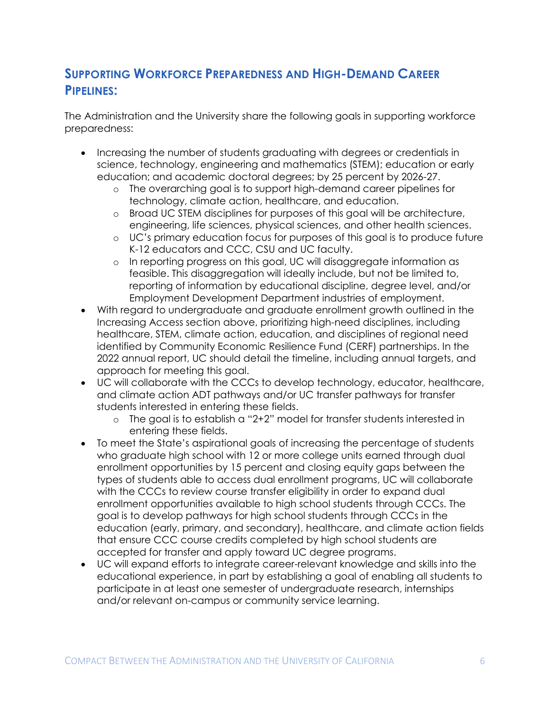#### **SUPPORTING WORKFORCE PREPAREDNESS AND HIGH-DEMAND CAREER PIPELINES:**

The Administration and the University share the following goals in supporting workforce preparedness:

- Increasing the number of students graduating with degrees or credentials in science, technology, engineering and mathematics (STEM); education or early education; and academic doctoral degrees; by 25 percent by 2026-27.
	- o The overarching goal is to support high-demand career pipelines for technology, climate action, healthcare, and education.
	- o Broad UC STEM disciplines for purposes of this goal will be architecture, engineering, life sciences, physical sciences, and other health sciences.
	- o UC's primary education focus for purposes of this goal is to produce future K-12 educators and CCC, CSU and UC faculty.
	- o In reporting progress on this goal, UC will disaggregate information as feasible. This disaggregation will ideally include, but not be limited to, reporting of information by educational discipline, degree level, and/or Employment Development Department industries of employment.
- With regard to undergraduate and graduate enrollment growth outlined in the Increasing Access section above, prioritizing high-need disciplines, including healthcare, STEM, climate action, education, and disciplines of regional need identified by Community Economic Resilience Fund (CERF) partnerships. In the 2022 annual report, UC should detail the timeline, including annual targets, and approach for meeting this goal.
- UC will collaborate with the CCCs to develop technology, educator, healthcare, and climate action ADT pathways and/or UC transfer pathways for transfer students interested in entering these fields.
	- o The goal is to establish a "2+2" model for transfer students interested in entering these fields.
- To meet the State's aspirational goals of increasing the percentage of students who graduate high school with 12 or more college units earned through dual enrollment opportunities by 15 percent and closing equity gaps between the types of students able to access dual enrollment programs, UC will collaborate with the CCCs to review course transfer eligibility in order to expand dual enrollment opportunities available to high school students through CCCs. The goal is to develop pathways for high school students through CCCs in the education (early, primary, and secondary), healthcare, and climate action fields that ensure CCC course credits completed by high school students are accepted for transfer and apply toward UC degree programs.
- UC will expand efforts to integrate career-relevant knowledge and skills into the educational experience, in part by establishing a goal of enabling all students to participate in at least one semester of undergraduate research, internships and/or relevant on-campus or community service learning.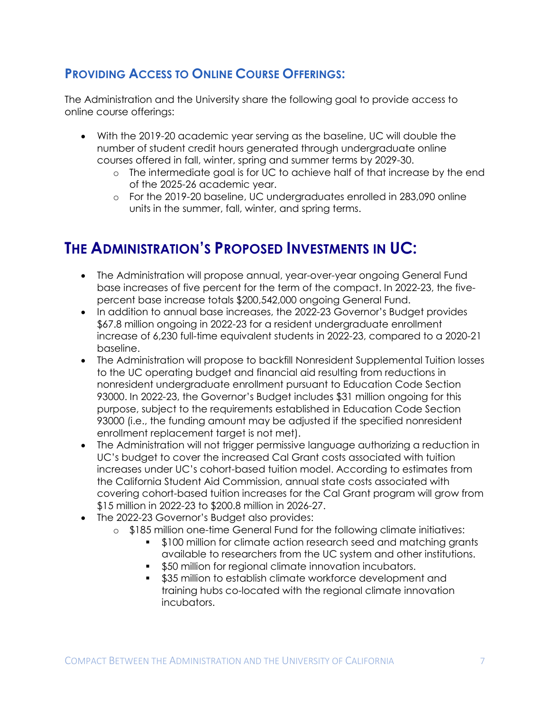#### **PROVIDING ACCESS TO ONLINE COURSE OFFERINGS:**

The Administration and the University share the following goal to provide access to online course offerings:

- With the 2019-20 academic year serving as the baseline, UC will double the number of student credit hours generated through undergraduate online courses offered in fall, winter, spring and summer terms by 2029-30.
	- o The intermediate goal is for UC to achieve half of that increase by the end of the 2025-26 academic year.
	- o For the 2019-20 baseline, UC undergraduates enrolled in 283,090 online units in the summer, fall, winter, and spring terms.

# **THE ADMINISTRATION'S PROPOSED INVESTMENTS IN UC:**

- The Administration will propose annual, year-over-year ongoing General Fund base increases of five percent for the term of the compact. In 2022-23, the fivepercent base increase totals \$200,542,000 ongoing General Fund.
- In addition to annual base increases, the 2022-23 Governor's Budget provides \$67.8 million ongoing in 2022-23 for a resident undergraduate enrollment increase of 6,230 full-time equivalent students in 2022-23, compared to a 2020-21 baseline.
- The Administration will propose to backfill Nonresident Supplemental Tuition losses to the UC operating budget and financial aid resulting from reductions in nonresident undergraduate enrollment pursuant to Education Code Section 93000. In 2022-23, the Governor's Budget includes \$31 million ongoing for this purpose, subject to the requirements established in Education Code Section 93000 (i.e., the funding amount may be adjusted if the specified nonresident enrollment replacement target is not met).
- The Administration will not trigger permissive language authorizing a reduction in UC's budget to cover the increased Cal Grant costs associated with tuition increases under UC's cohort-based tuition model. According to estimates from the California Student Aid Commission, annual state costs associated with covering cohort-based tuition increases for the Cal Grant program will grow from \$15 million in 2022-23 to \$200.8 million in 2026-27.
- The 2022-23 Governor's Budget also provides:
	- o \$185 million one-time General Fund for the following climate initiatives:
		- \$100 million for climate action research seed and matching grants available to researchers from the UC system and other institutions.
		- **\$50 million for regional climate innovation incubators.**
		- **535 million to establish climate workforce development and** training hubs co-located with the regional climate innovation incubators.